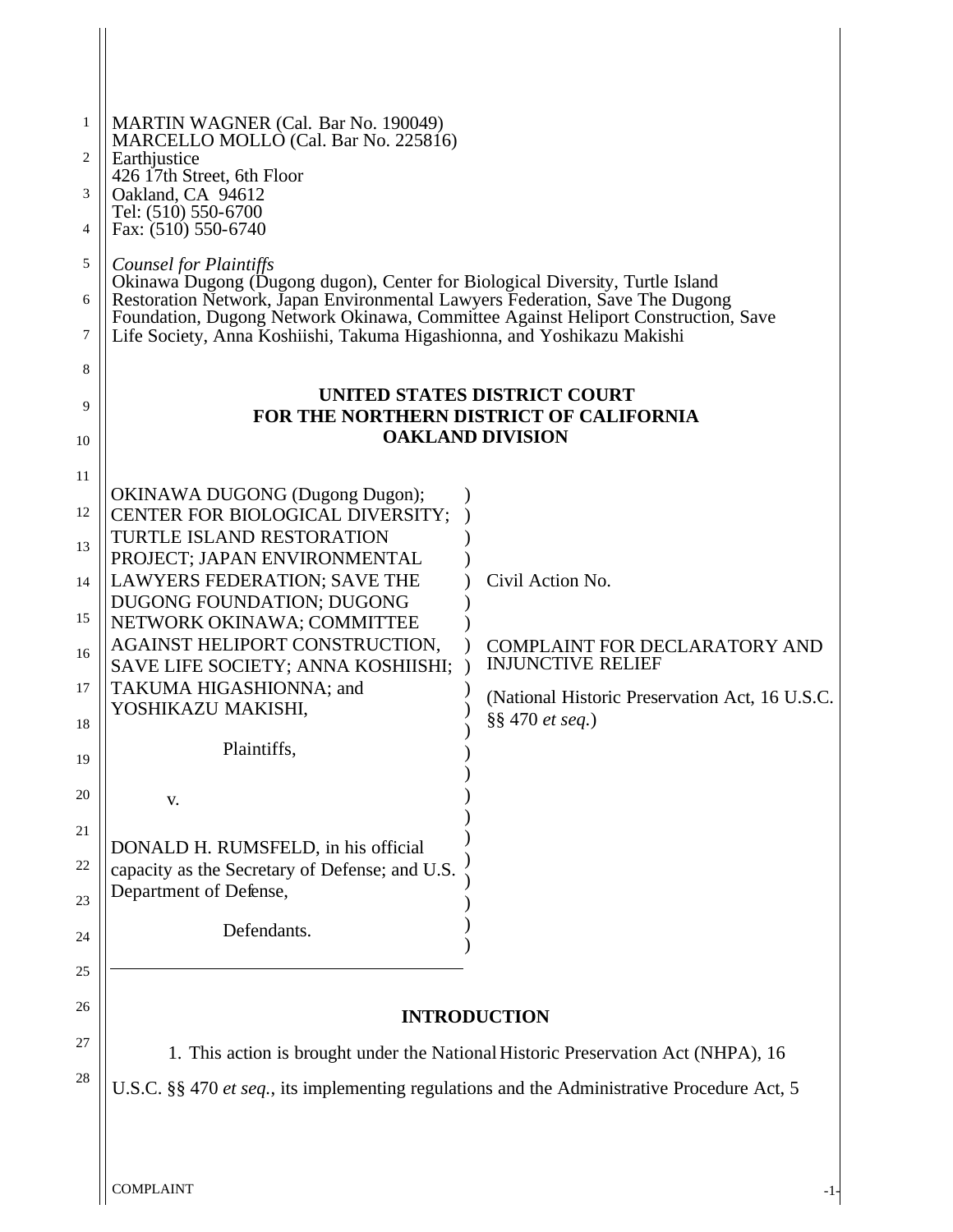| 1                                                                                                                                                                 | <b>MARTIN WAGNER (Cal. Bar No. 190049)</b>                                            |                                                                                   |  |
|-------------------------------------------------------------------------------------------------------------------------------------------------------------------|---------------------------------------------------------------------------------------|-----------------------------------------------------------------------------------|--|
|                                                                                                                                                                   | MARCELLO MOLLO (Cal. Bar No. 225816)<br>Earthjustice                                  |                                                                                   |  |
|                                                                                                                                                                   | 426 17th Street, 6th Floor                                                            |                                                                                   |  |
|                                                                                                                                                                   | Oakland, CA 94612<br>Tel: (510) 550-6700                                              |                                                                                   |  |
|                                                                                                                                                                   | Fax: (510) 550-6740                                                                   |                                                                                   |  |
|                                                                                                                                                                   | Counsel for Plaintiffs                                                                |                                                                                   |  |
| Okinawa Dugong (Dugong dugon), Center for Biological Diversity, Turtle Island                                                                                     |                                                                                       |                                                                                   |  |
| Restoration Network, Japan Environmental Lawyers Federation, Save The Dugong<br>Foundation, Dugong Network Okinawa, Committee Against Heliport Construction, Save |                                                                                       |                                                                                   |  |
| Life Society, Anna Koshiishi, Takuma Higashionna, and Yoshikazu Makishi                                                                                           |                                                                                       |                                                                                   |  |
|                                                                                                                                                                   |                                                                                       |                                                                                   |  |
| UNITED STATES DISTRICT COURT                                                                                                                                      |                                                                                       |                                                                                   |  |
| FOR THE NORTHERN DISTRICT OF CALIFORNIA                                                                                                                           |                                                                                       |                                                                                   |  |
|                                                                                                                                                                   |                                                                                       | <b>OAKLAND DIVISION</b>                                                           |  |
|                                                                                                                                                                   |                                                                                       |                                                                                   |  |
|                                                                                                                                                                   | <b>OKINAWA DUGONG (Dugong Dugon);</b>                                                 |                                                                                   |  |
|                                                                                                                                                                   | CENTER FOR BIOLOGICAL DIVERSITY;                                                      |                                                                                   |  |
|                                                                                                                                                                   | TURTLE ISLAND RESTORATION<br>PROJECT; JAPAN ENVIRONMENTAL                             |                                                                                   |  |
|                                                                                                                                                                   | LAWYERS FEDERATION; SAVE THE                                                          | Civil Action No.                                                                  |  |
|                                                                                                                                                                   | <b>DUGONG FOUNDATION; DUGONG</b>                                                      |                                                                                   |  |
|                                                                                                                                                                   | NETWORK OKINAWA; COMMITTEE                                                            |                                                                                   |  |
|                                                                                                                                                                   | AGAINST HELIPORT CONSTRUCTION.                                                        | <b>COMPLAINT FOR DECLARATORY AND</b>                                              |  |
|                                                                                                                                                                   | SAVE LIFE SOCIETY; ANNA KOSHIISHI;                                                    | <b>INJUNCTIVE RELIEF</b>                                                          |  |
|                                                                                                                                                                   | TAKUMA HIGASHIONNA; and<br>YOSHIKAZU MAKISHI,                                         | (National Historic Preservation Act, 16 U.S.C.)                                   |  |
|                                                                                                                                                                   |                                                                                       | §§ 470 et seq.)                                                                   |  |
|                                                                                                                                                                   | Plaintiffs,                                                                           |                                                                                   |  |
|                                                                                                                                                                   |                                                                                       |                                                                                   |  |
|                                                                                                                                                                   | V.                                                                                    |                                                                                   |  |
|                                                                                                                                                                   |                                                                                       |                                                                                   |  |
|                                                                                                                                                                   | DONALD H. RUMSFELD, in his official<br>capacity as the Secretary of Defense; and U.S. |                                                                                   |  |
|                                                                                                                                                                   | Department of Defense,                                                                |                                                                                   |  |
|                                                                                                                                                                   |                                                                                       |                                                                                   |  |
|                                                                                                                                                                   | Defendants.                                                                           |                                                                                   |  |
|                                                                                                                                                                   |                                                                                       |                                                                                   |  |
|                                                                                                                                                                   |                                                                                       |                                                                                   |  |
|                                                                                                                                                                   |                                                                                       | <b>INTRODUCTION</b>                                                               |  |
|                                                                                                                                                                   |                                                                                       | 1. This action is brought under the National Historic Preservation Act (NHPA), 16 |  |
| U.S.C. §§ 470 et seq., its implementing regulations and the Administrative Procedure Act, 5                                                                       |                                                                                       |                                                                                   |  |
|                                                                                                                                                                   |                                                                                       |                                                                                   |  |
|                                                                                                                                                                   |                                                                                       |                                                                                   |  |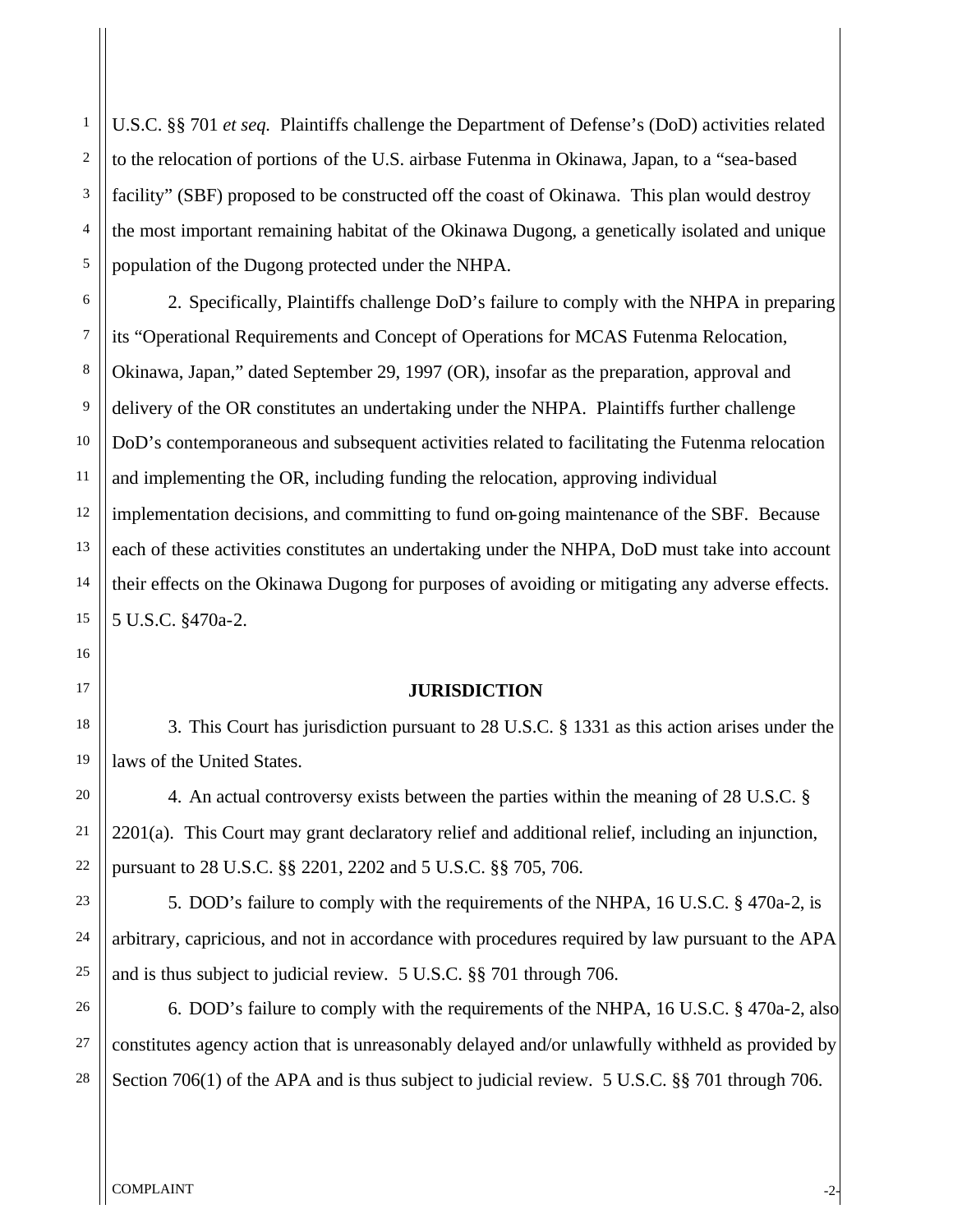U.S.C. §§ 701 *et seq.* Plaintiffs challenge the Department of Defense's (DoD) activities related to the relocation of portions of the U.S. airbase Futenma in Okinawa, Japan, to a "sea-based facility" (SBF) proposed to be constructed off the coast of Okinawa. This plan would destroy the most important remaining habitat of the Okinawa Dugong, a genetically isolated and unique population of the Dugong protected under the NHPA.

2. Specifically, Plaintiffs challenge DoD's failure to comply with the NHPA in preparing its "Operational Requirements and Concept of Operations for MCAS Futenma Relocation, Okinawa, Japan," dated September 29, 1997 (OR), insofar as the preparation, approval and delivery of the OR constitutes an undertaking under the NHPA. Plaintiffs further challenge DoD's contemporaneous and subsequent activities related to facilitating the Futenma relocation and implementing the OR, including funding the relocation, approving individual implementation decisions, and committing to fund on-going maintenance of the SBF. Because each of these activities constitutes an undertaking under the NHPA, DoD must take into account their effects on the Okinawa Dugong for purposes of avoiding or mitigating any adverse effects. 5 U.S.C. §470a-2.

#### **JURISDICTION**

3. This Court has jurisdiction pursuant to 28 U.S.C. § 1331 as this action arises under the laws of the United States.

4. An actual controversy exists between the parties within the meaning of 28 U.S.C. § 2201(a). This Court may grant declaratory relief and additional relief, including an injunction, pursuant to 28 U.S.C. §§ 2201, 2202 and 5 U.S.C. §§ 705, 706.

5. DOD's failure to comply with the requirements of the NHPA, 16 U.S.C. § 470a-2, is arbitrary, capricious, and not in accordance with procedures required by law pursuant to the APA and is thus subject to judicial review. 5 U.S.C. §§ 701 through 706.

6. DOD's failure to comply with the requirements of the NHPA, 16 U.S.C. § 470a-2, also constitutes agency action that is unreasonably delayed and/or unlawfully withheld as provided by Section 706(1) of the APA and is thus subject to judicial review. 5 U.S.C. §§ 701 through 706.

1

2

3

4

5

6

7

8

9

10

11

12

13

14

15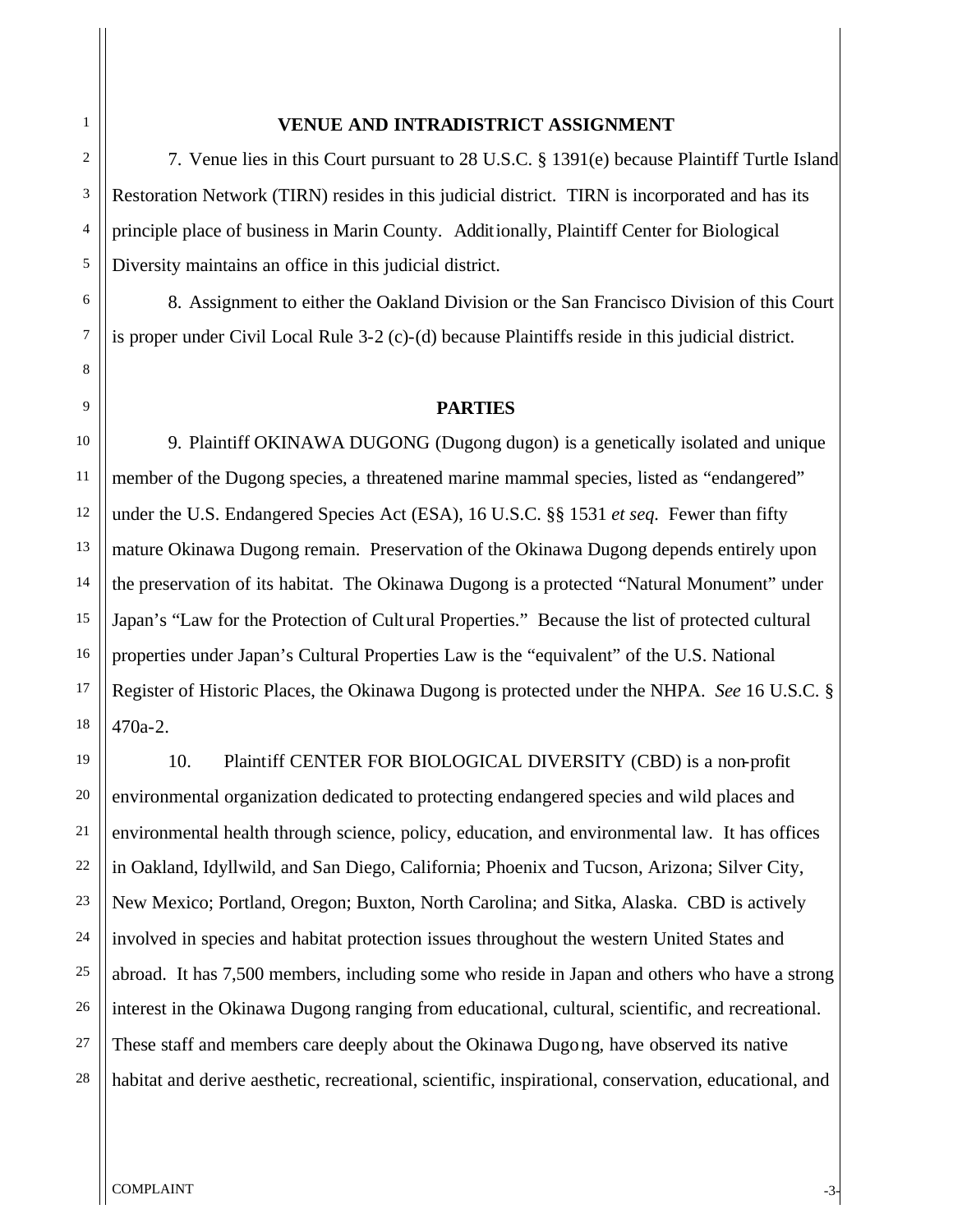# **VENUE AND INTRADISTRICT ASSIGNMENT**

7. Venue lies in this Court pursuant to 28 U.S.C. § 1391(e) because Plaintiff Turtle Island Restoration Network (TIRN) resides in this judicial district. TIRN is incorporated and has its principle place of business in Marin County. Additionally, Plaintiff Center for Biological Diversity maintains an office in this judicial district.

8. Assignment to either the Oakland Division or the San Francisco Division of this Court is proper under Civil Local Rule 3-2 (c)-(d) because Plaintiffs reside in this judicial district.

#### **PARTIES**

9. Plaintiff OKINAWA DUGONG (Dugong dugon) is a genetically isolated and unique member of the Dugong species, a threatened marine mammal species, listed as "endangered" under the U.S. Endangered Species Act (ESA), 16 U.S.C. §§ 1531 *et seq.* Fewer than fifty mature Okinawa Dugong remain. Preservation of the Okinawa Dugong depends entirely upon the preservation of its habitat. The Okinawa Dugong is a protected "Natural Monument" under Japan's "Law for the Protection of Cultural Properties." Because the list of protected cultural properties under Japan's Cultural Properties Law is the "equivalent" of the U.S. National Register of Historic Places, the Okinawa Dugong is protected under the NHPA. *See* 16 U.S.C. § 470a-2.

10. Plaintiff CENTER FOR BIOLOGICAL DIVERSITY (CBD) is a non-profit environmental organization dedicated to protecting endangered species and wild places and environmental health through science, policy, education, and environmental law. It has offices in Oakland, Idyllwild, and San Diego, California; Phoenix and Tucson, Arizona; Silver City, New Mexico; Portland, Oregon; Buxton, North Carolina; and Sitka, Alaska. CBD is actively involved in species and habitat protection issues throughout the western United States and abroad. It has 7,500 members, including some who reside in Japan and others who have a strong interest in the Okinawa Dugong ranging from educational, cultural, scientific, and recreational. These staff and members care deeply about the Okinawa Dugong, have observed its native habitat and derive aesthetic, recreational, scientific, inspirational, conservation, educational, and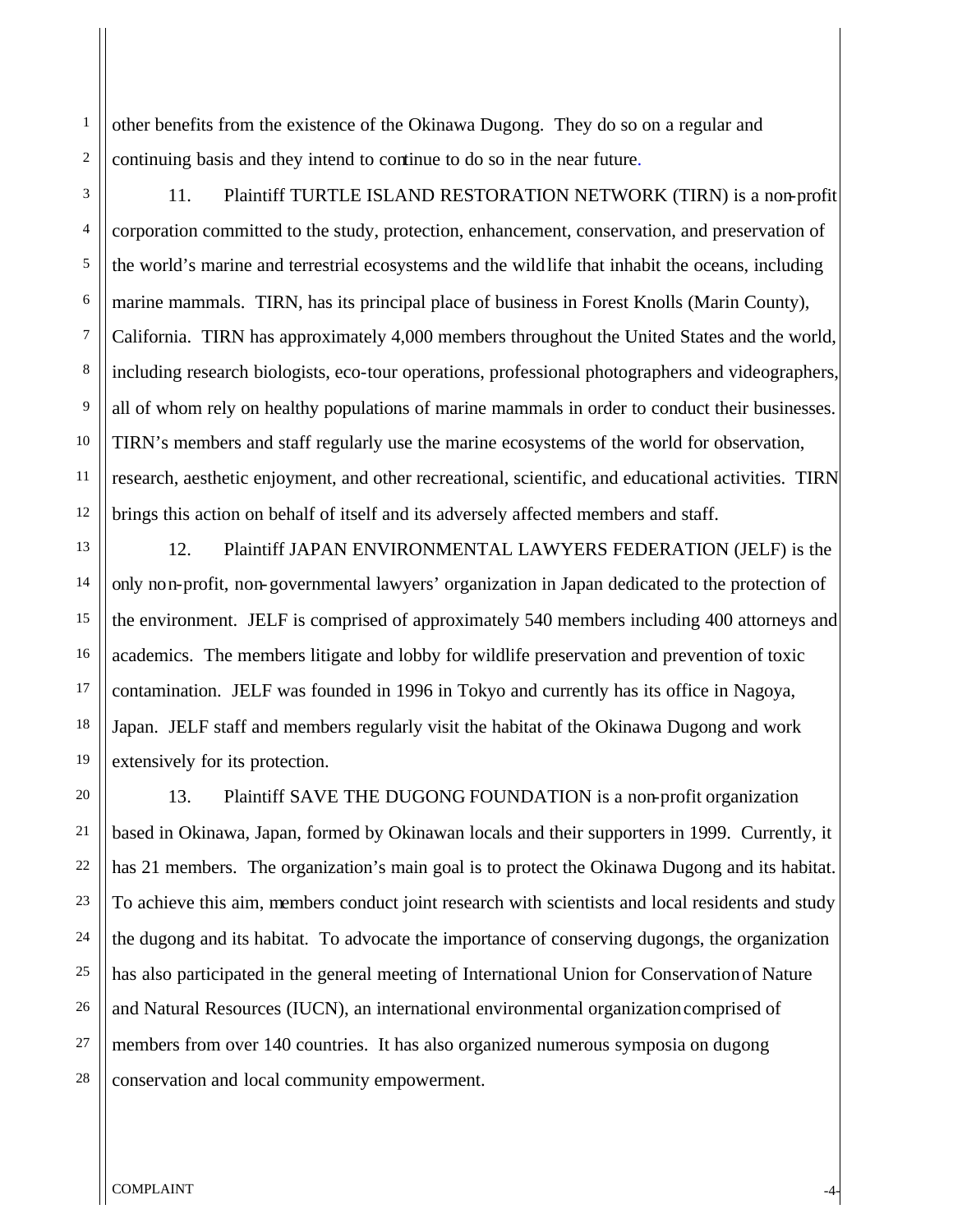other benefits from the existence of the Okinawa Dugong. They do so on a regular and continuing basis and they intend to continue to do so in the near future.

11. Plaintiff TURTLE ISLAND RESTORATION NETWORK (TIRN) is a non-profit corporation committed to the study, protection, enhancement, conservation, and preservation of the world's marine and terrestrial ecosystems and the wildlife that inhabit the oceans, including marine mammals. TIRN, has its principal place of business in Forest Knolls (Marin County), California. TIRN has approximately 4,000 members throughout the United States and the world, including research biologists, eco-tour operations, professional photographers and videographers, all of whom rely on healthy populations of marine mammals in order to conduct their businesses. TIRN's members and staff regularly use the marine ecosystems of the world for observation, research, aesthetic enjoyment, and other recreational, scientific, and educational activities. TIRN brings this action on behalf of itself and its adversely affected members and staff.

12. Plaintiff JAPAN ENVIRONMENTAL LAWYERS FEDERATION (JELF) is the only non-profit, non-governmental lawyers' organization in Japan dedicated to the protection of the environment. JELF is comprised of approximately 540 members including 400 attorneys and academics. The members litigate and lobby for wildlife preservation and prevention of toxic contamination. JELF was founded in 1996 in Tokyo and currently has its office in Nagoya, Japan. JELF staff and members regularly visit the habitat of the Okinawa Dugong and work extensively for its protection.

13. Plaintiff SAVE THE DUGONG FOUNDATION is a non-profit organization based in Okinawa, Japan, formed by Okinawan locals and their supporters in 1999. Currently, it has 21 members. The organization's main goal is to protect the Okinawa Dugong and its habitat. To achieve this aim, members conduct joint research with scientists and local residents and study the dugong and its habitat. To advocate the importance of conserving dugongs, the organization has also participated in the general meeting of International Union for Conservation of Nature and Natural Resources (IUCN), an international environmental organization comprised of members from over 140 countries. It has also organized numerous symposia on dugong conservation and local community empowerment.

1

2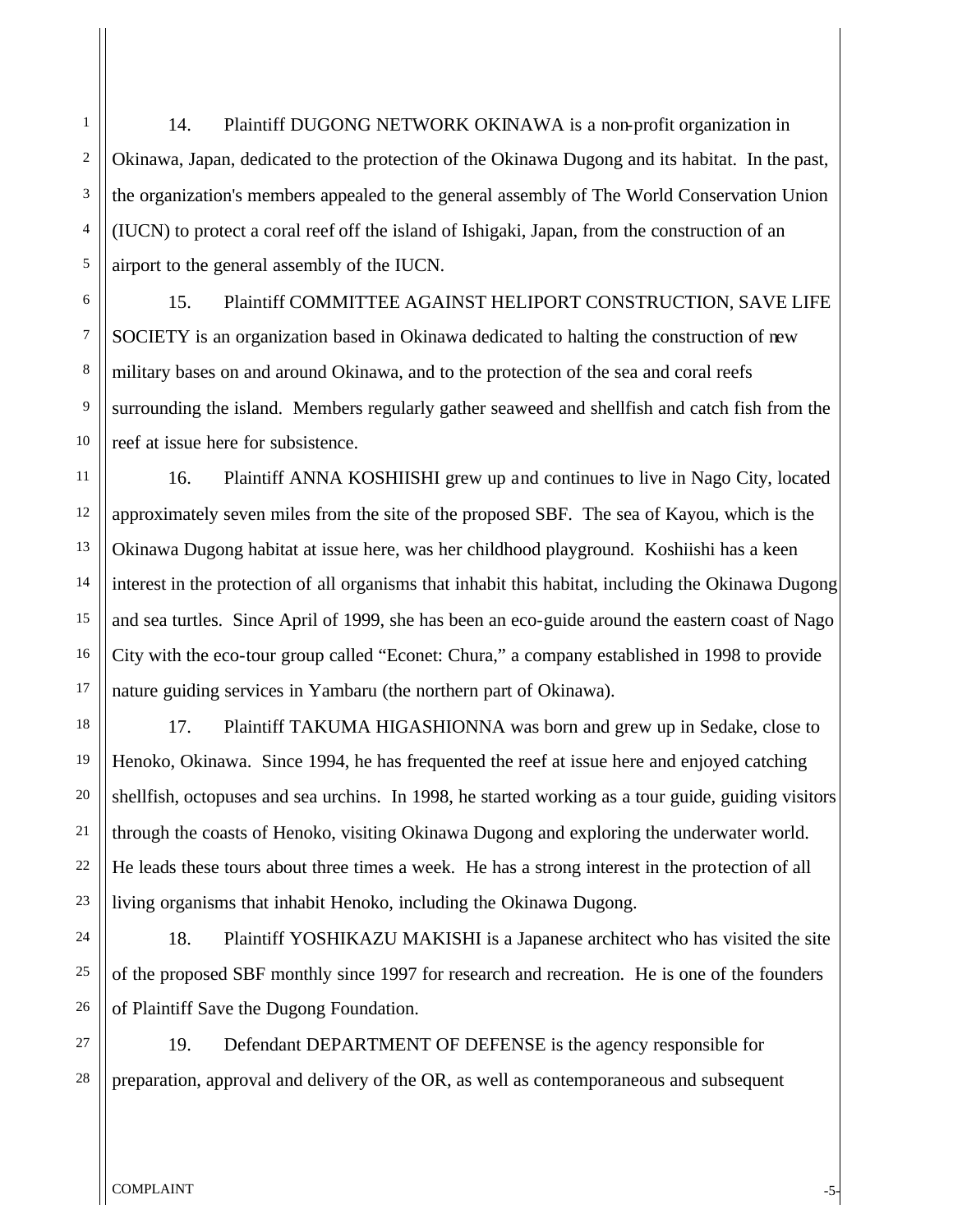14. Plaintiff DUGONG NETWORK OKINAWA is a non-profit organization in Okinawa, Japan, dedicated to the protection of the Okinawa Dugong and its habitat. In the past, the organization's members appealed to the general assembly of The World Conservation Union (IUCN) to protect a coral reef off the island of Ishigaki, Japan, from the construction of an airport to the general assembly of the IUCN.

15. Plaintiff COMMITTEE AGAINST HELIPORT CONSTRUCTION, SAVE LIFE SOCIETY is an organization based in Okinawa dedicated to halting the construction of new military bases on and around Okinawa, and to the protection of the sea and coral reefs surrounding the island. Members regularly gather seaweed and shellfish and catch fish from the reef at issue here for subsistence.

16. Plaintiff ANNA KOSHIISHI grew up and continues to live in Nago City, located approximately seven miles from the site of the proposed SBF. The sea of Kayou, which is the Okinawa Dugong habitat at issue here, was her childhood playground. Koshiishi has a keen interest in the protection of all organisms that inhabit this habitat, including the Okinawa Dugong and sea turtles. Since April of 1999, she has been an eco-guide around the eastern coast of Nago City with the eco-tour group called "Econet: Chura," a company established in 1998 to provide nature guiding services in Yambaru (the northern part of Okinawa).

17. Plaintiff TAKUMA HIGASHIONNA was born and grew up in Sedake, close to Henoko, Okinawa. Since 1994, he has frequented the reef at issue here and enjoyed catching shellfish, octopuses and sea urchins. In 1998, he started working as a tour guide, guiding visitors through the coasts of Henoko, visiting Okinawa Dugong and exploring the underwater world. He leads these tours about three times a week. He has a strong interest in the protection of all living organisms that inhabit Henoko, including the Okinawa Dugong.

18. Plaintiff YOSHIKAZU MAKISHI is a Japanese architect who has visited the site of the proposed SBF monthly since 1997 for research and recreation. He is one of the founders of Plaintiff Save the Dugong Foundation.

19. Defendant DEPARTMENT OF DEFENSE is the agency responsible for preparation, approval and delivery of the OR, as well as contemporaneous and subsequent

1

2

3

4

5

6

7

8

9

10

11

12

13

14

15

16

17

18

19

20

21

22

23

24

25

26

27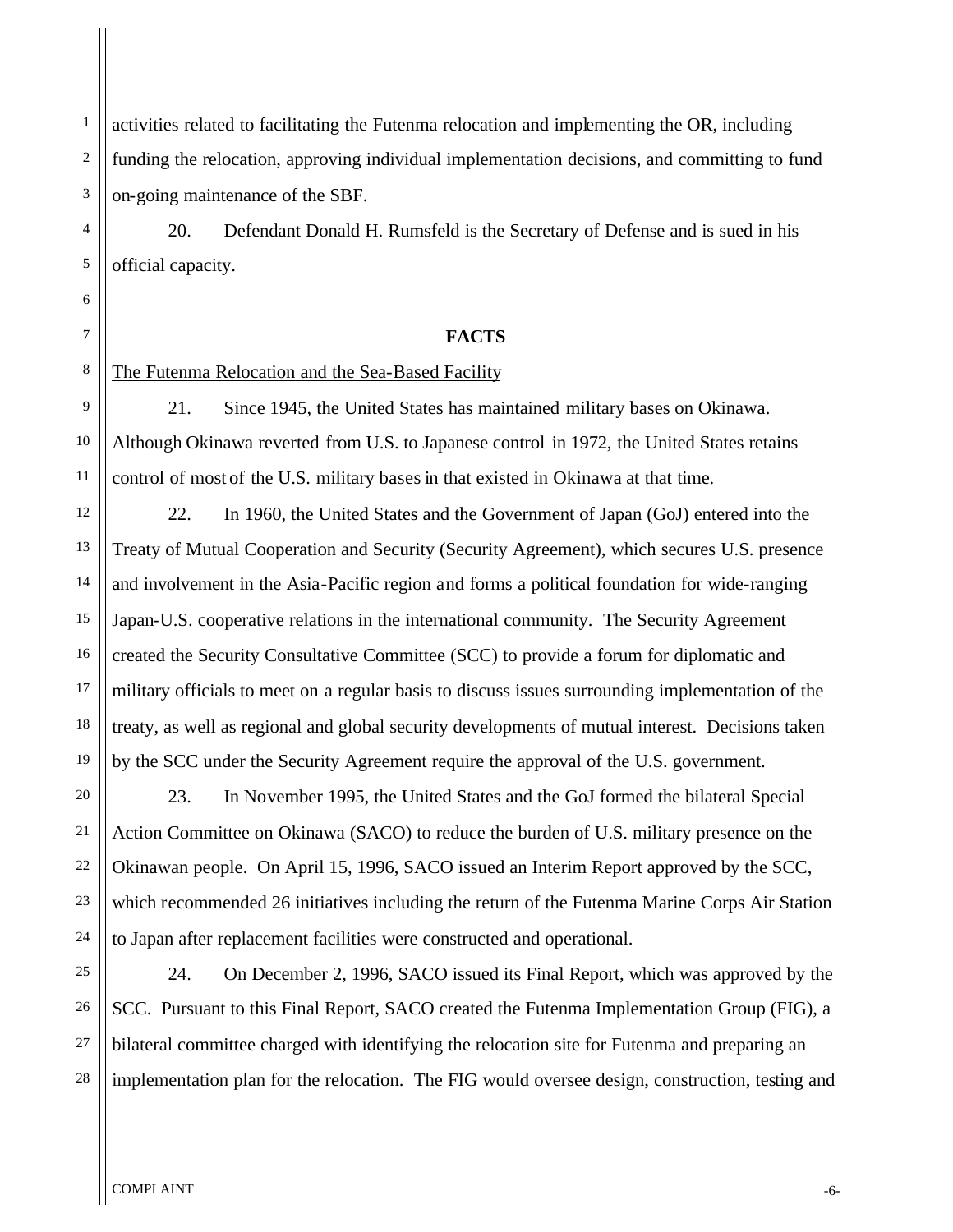activities related to facilitating the Futenma relocation and implementing the OR, including funding the relocation, approving individual implementation decisions, and committing to fund on-going maintenance of the SBF.

20. Defendant Donald H. Rumsfeld is the Secretary of Defense and is sued in his official capacity.

### **FACTS**

The Futenma Relocation and the Sea-Based Facility

1

2

3

4

5

6

7

8

9

10

11

12

13

14

15

16

17

18

19

20

21

22

23

24

21. Since 1945, the United States has maintained military bases on Okinawa. Although Okinawa reverted from U.S. to Japanese control in 1972, the United States retains control of most of the U.S. military bases in that existed in Okinawa at that time.

22. In 1960, the United States and the Government of Japan (GoJ) entered into the Treaty of Mutual Cooperation and Security (Security Agreement), which secures U.S. presence and involvement in the Asia-Pacific region and forms a political foundation for wide-ranging Japan-U.S. cooperative relations in the international community. The Security Agreement created the Security Consultative Committee (SCC) to provide a forum for diplomatic and military officials to meet on a regular basis to discuss issues surrounding implementation of the treaty, as well as regional and global security developments of mutual interest. Decisions taken by the SCC under the Security Agreement require the approval of the U.S. government.

23. In November 1995, the United States and the GoJ formed the bilateral Special Action Committee on Okinawa (SACO) to reduce the burden of U.S. military presence on the Okinawan people. On April 15, 1996, SACO issued an Interim Report approved by the SCC, which recommended 26 initiatives including the return of the Futenma Marine Corps Air Station to Japan after replacement facilities were constructed and operational.

25 26 27 28 24. On December 2, 1996, SACO issued its Final Report, which was approved by the SCC. Pursuant to this Final Report, SACO created the Futenma Implementation Group (FIG), a bilateral committee charged with identifying the relocation site for Futenma and preparing an implementation plan for the relocation. The FIG would oversee design, construction, testing and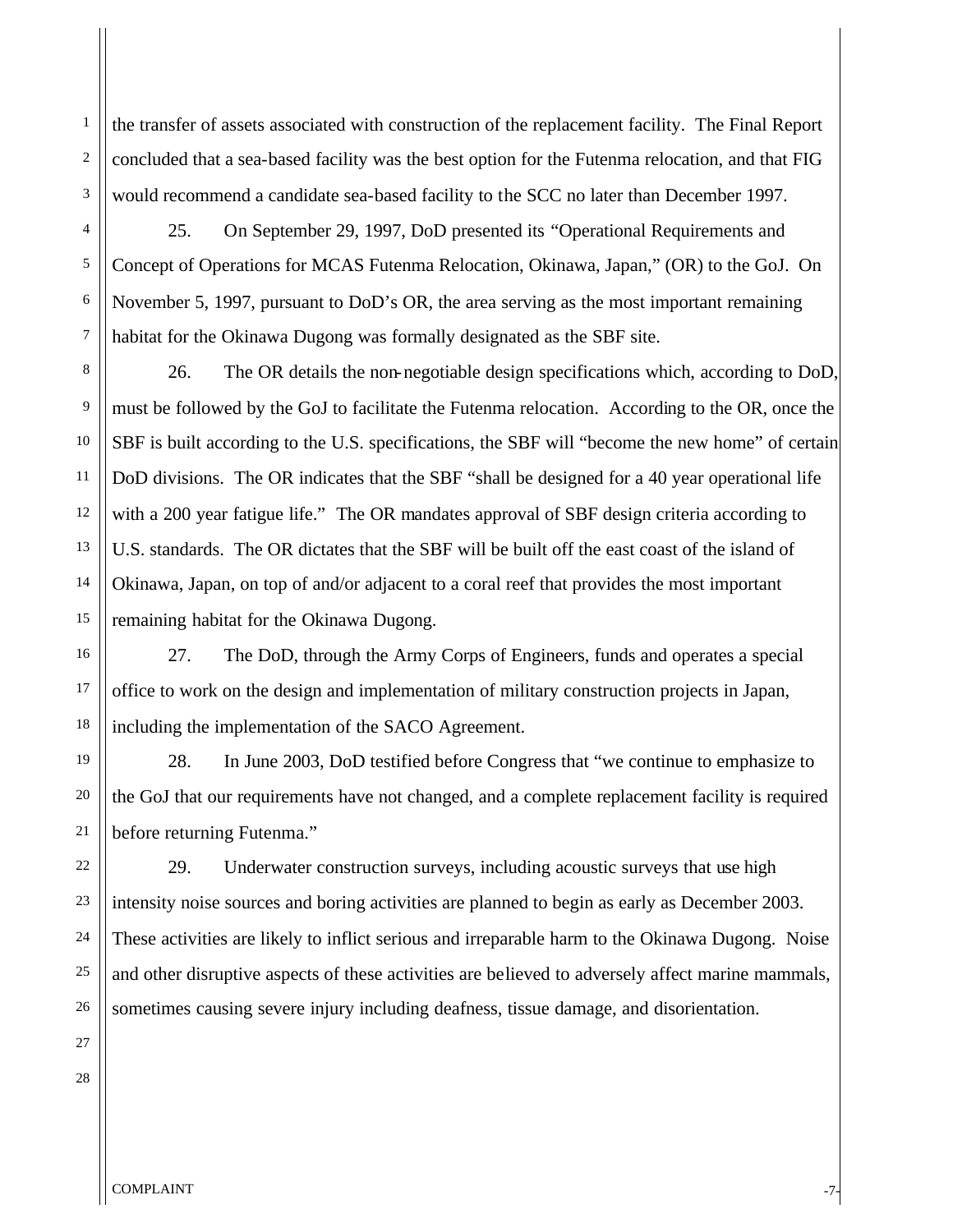the transfer of assets associated with construction of the replacement facility. The Final Report concluded that a sea-based facility was the best option for the Futenma relocation, and that FIG would recommend a candidate sea-based facility to the SCC no later than December 1997.

25. On September 29, 1997, DoD presented its "Operational Requirements and Concept of Operations for MCAS Futenma Relocation, Okinawa, Japan," (OR) to the GoJ. On November 5, 1997, pursuant to DoD's OR, the area serving as the most important remaining habitat for the Okinawa Dugong was formally designated as the SBF site.

26. The OR details the non-negotiable design specifications which, according to DoD, must be followed by the GoJ to facilitate the Futenma relocation. According to the OR, once the SBF is built according to the U.S. specifications, the SBF will "become the new home" of certain DoD divisions. The OR indicates that the SBF "shall be designed for a 40 year operational life with a 200 year fatigue life." The OR mandates approval of SBF design criteria according to U.S. standards. The OR dictates that the SBF will be built off the east coast of the island of Okinawa, Japan, on top of and/or adjacent to a coral reef that provides the most important remaining habitat for the Okinawa Dugong.

27. The DoD, through the Army Corps of Engineers, funds and operates a special office to work on the design and implementation of military construction projects in Japan, including the implementation of the SACO Agreement.

28. In June 2003, DoD testified before Congress that "we continue to emphasize to the GoJ that our requirements have not changed, and a complete replacement facility is required before returning Futenma."

29. Underwater construction surveys, including acoustic surveys that use high intensity noise sources and boring activities are planned to begin as early as December 2003. These activities are likely to inflict serious and irreparable harm to the Okinawa Dugong. Noise and other disruptive aspects of these activities are believed to adversely affect marine mammals, sometimes causing severe injury including deafness, tissue damage, and disorientation.

1

2

3

4

5

6

7

8

9

10

11

12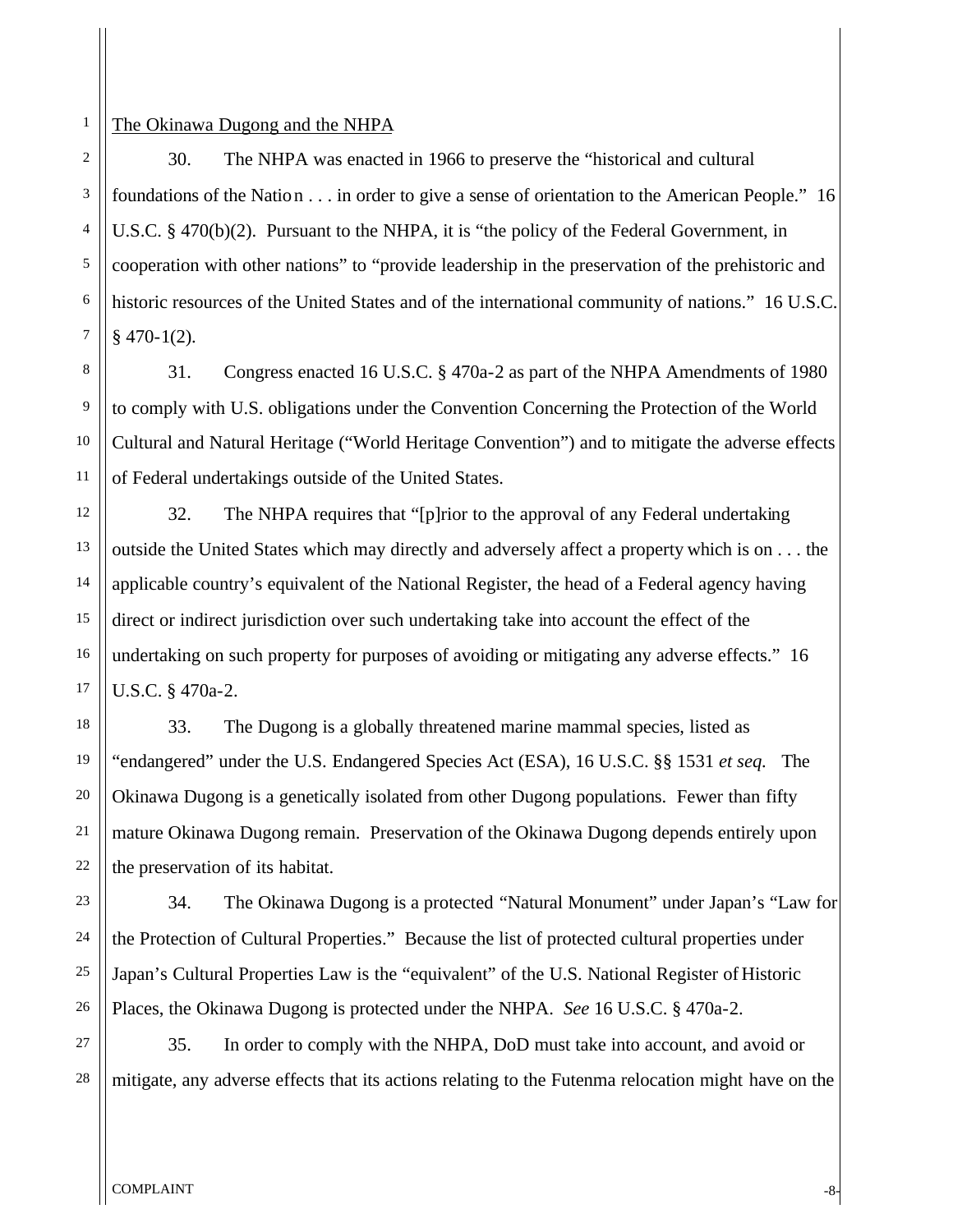# The Okinawa Dugong and the NHPA

1

2

3

4

5

6

7

8

9

10

11

12

13

14

15

16

17

18

19

20

21

22

23

24

25

26

30. The NHPA was enacted in 1966 to preserve the "historical and cultural foundations of the Nation . . . in order to give a sense of orientation to the American People." 16 U.S.C. § 470(b)(2). Pursuant to the NHPA, it is "the policy of the Federal Government, in cooperation with other nations" to "provide leadership in the preservation of the prehistoric and historic resources of the United States and of the international community of nations." 16 U.S.C.  $§$  470-1(2).

31. Congress enacted 16 U.S.C. § 470a-2 as part of the NHPA Amendments of 1980 to comply with U.S. obligations under the Convention Concerning the Protection of the World Cultural and Natural Heritage ("World Heritage Convention") and to mitigate the adverse effects of Federal undertakings outside of the United States.

32. The NHPA requires that "[p]rior to the approval of any Federal undertaking outside the United States which may directly and adversely affect a property which is on . . . the applicable country's equivalent of the National Register, the head of a Federal agency having direct or indirect jurisdiction over such undertaking take into account the effect of the undertaking on such property for purposes of avoiding or mitigating any adverse effects." 16 U.S.C. § 470a-2.

33. The Dugong is a globally threatened marine mammal species, listed as "endangered" under the U.S. Endangered Species Act (ESA), 16 U.S.C. §§ 1531 *et seq.* The Okinawa Dugong is a genetically isolated from other Dugong populations. Fewer than fifty mature Okinawa Dugong remain. Preservation of the Okinawa Dugong depends entirely upon the preservation of its habitat.

34. The Okinawa Dugong is a protected "Natural Monument" under Japan's "Law for the Protection of Cultural Properties." Because the list of protected cultural properties under Japan's Cultural Properties Law is the "equivalent" of the U.S. National Register of Historic Places, the Okinawa Dugong is protected under the NHPA. *See* 16 U.S.C. § 470a-2.

27 28 35. In order to comply with the NHPA, DoD must take into account, and avoid or mitigate, any adverse effects that its actions relating to the Futenma relocation might have on the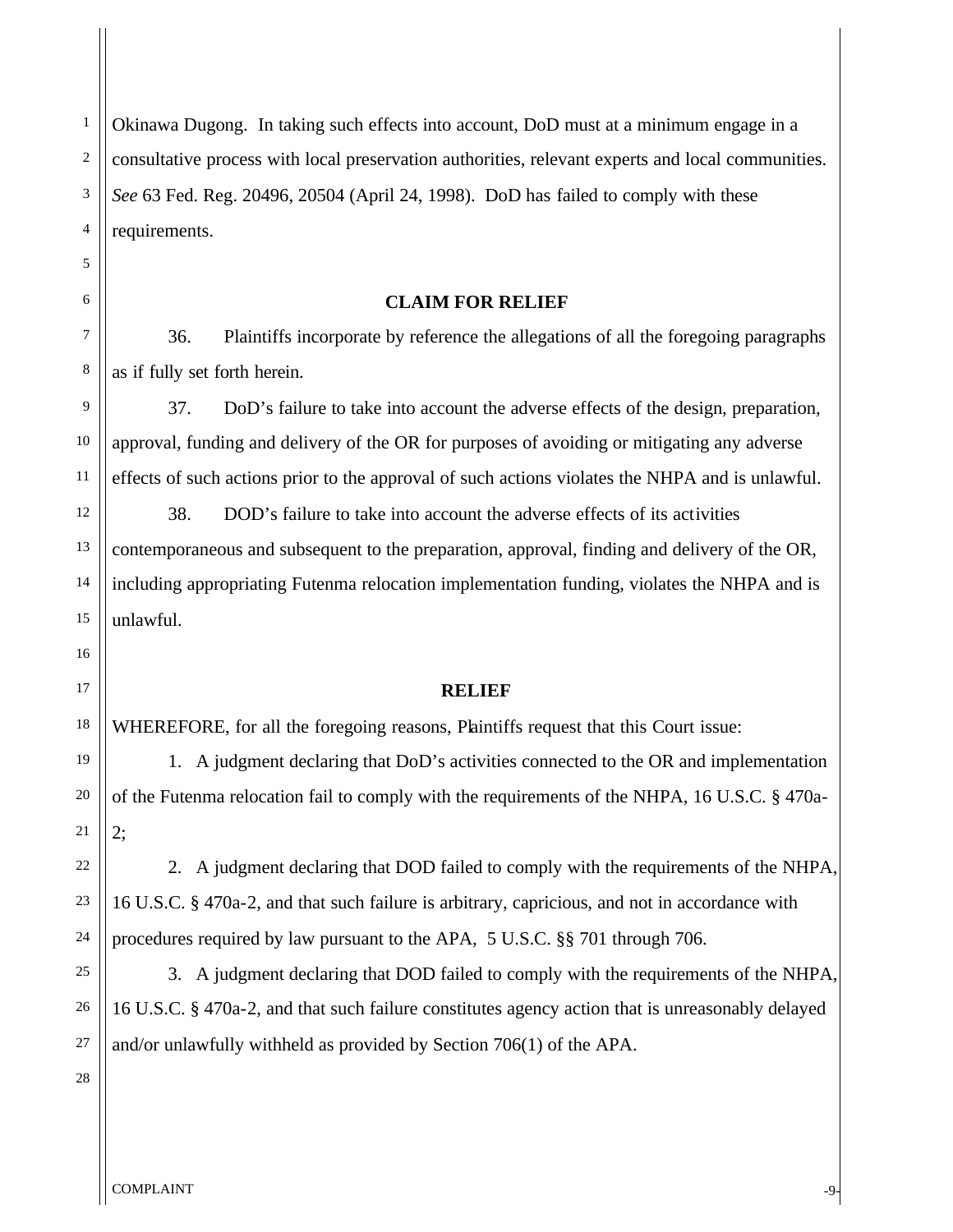Okinawa Dugong. In taking such effects into account, DoD must at a minimum engage in a consultative process with local preservation authorities, relevant experts and local communities. *See* 63 Fed. Reg. 20496, 20504 (April 24, 1998). DoD has failed to comply with these requirements.

## **CLAIM FOR RELIEF**

36. Plaintiffs incorporate by reference the allegations of all the foregoing paragraphs as if fully set forth herein.

37. DoD's failure to take into account the adverse effects of the design, preparation, approval, funding and delivery of the OR for purposes of avoiding or mitigating any adverse effects of such actions prior to the approval of such actions violates the NHPA and is unlawful.

38. DOD's failure to take into account the adverse effects of its activities contemporaneous and subsequent to the preparation, approval, finding and delivery of the OR, including appropriating Futenma relocation implementation funding, violates the NHPA and is unlawful.

### **RELIEF**

WHEREFORE, for all the foregoing reasons, Plaintiffs request that this Court issue:

1. A judgment declaring that DoD's activities connected to the OR and implementation of the Futenma relocation fail to comply with the requirements of the NHPA, 16 U.S.C. § 470a-2;

2. A judgment declaring that DOD failed to comply with the requirements of the NHPA, 16 U.S.C. § 470a-2, and that such failure is arbitrary, capricious, and not in accordance with procedures required by law pursuant to the APA, 5 U.S.C. §§ 701 through 706.

3. A judgment declaring that DOD failed to comply with the requirements of the NHPA, 16 U.S.C. § 470a-2, and that such failure constitutes agency action that is unreasonably delayed and/or unlawfully withheld as provided by Section 706(1) of the APA.

1

2

3

4

5

6

7

8

9

10